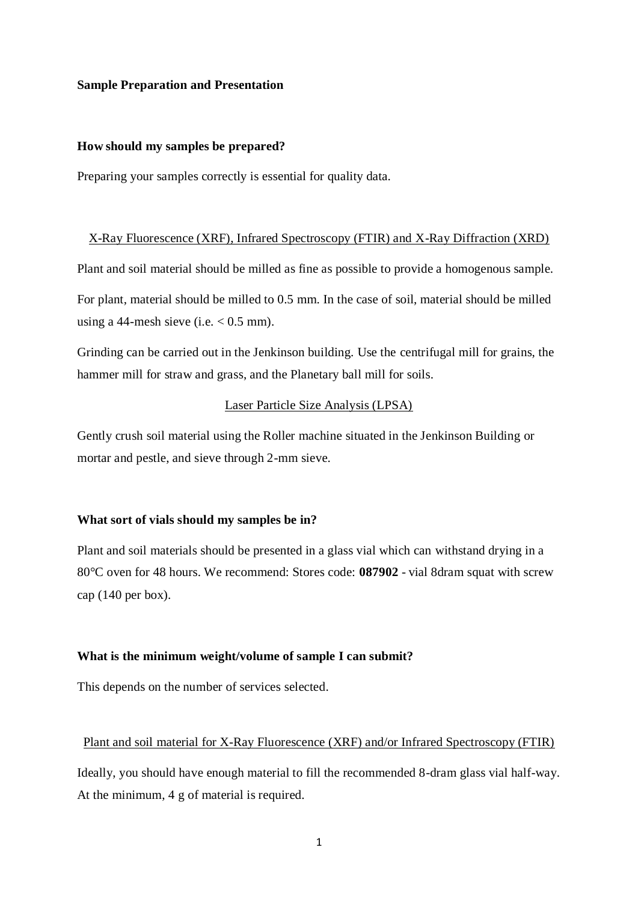#### **Sample Preparation and Presentation**

#### **How should my samples be prepared?**

Preparing your samples correctly is essential for quality data.

#### X-Ray Fluorescence (XRF), Infrared Spectroscopy (FTIR) and X-Ray Diffraction (XRD)

Plant and soil material should be milled as fine as possible to provide a homogenous sample. For plant, material should be milled to 0.5 mm. In the case of soil, material should be milled

using a 44-mesh sieve (i.e.  $< 0.5$  mm).

Grinding can be carried out in the Jenkinson building. Use the centrifugal mill for grains, the hammer mill for straw and grass, and the Planetary ball mill for soils.

# Laser Particle Size Analysis (LPSA)

Gently crush soil material using the Roller machine situated in the Jenkinson Building or mortar and pestle, and sieve through 2-mm sieve.

#### **What sort of vials should my samples be in?**

Plant and soil materials should be presented in a glass vial which can withstand drying in a 80°C oven for 48 hours. We recommend: Stores code: **087902** - vial 8dram squat with screw cap (140 per box).

#### **What is the minimum weight/volume of sample I can submit?**

This depends on the number of services selected.

#### Plant and soil material for X-Ray Fluorescence (XRF) and/or Infrared Spectroscopy (FTIR)

Ideally, you should have enough material to fill the recommended 8-dram glass vial half-way. At the minimum, 4 g of material is required.